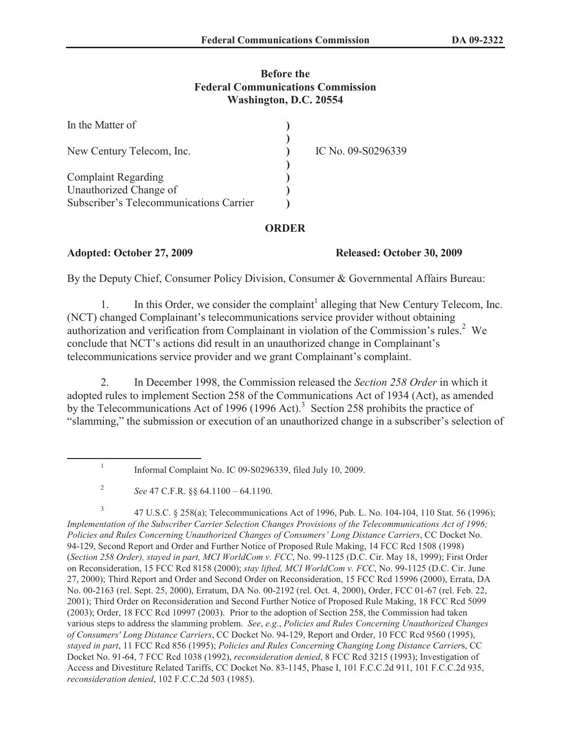## **Before the Federal Communications Commission Washington, D.C. 20554**

| In the Matter of                                                  |                    |
|-------------------------------------------------------------------|--------------------|
| New Century Telecom, Inc.                                         | IC No. 09-S0296339 |
| <b>Complaint Regarding</b>                                        |                    |
| Unauthorized Change of<br>Subscriber's Telecommunications Carrier |                    |

## **ORDER**

## **Adopted: October 27, 2009 Released: October 30, 2009**

By the Deputy Chief, Consumer Policy Division, Consumer & Governmental Affairs Bureau:

1. In this Order, we consider the complaint<sup>1</sup> alleging that New Century Telecom, Inc. (NCT) changed Complainant's telecommunications service provider without obtaining authorization and verification from Complainant in violation of the Commission's rules.<sup>2</sup> We conclude that NCT's actions did result in an unauthorized change in Complainant's telecommunications service provider and we grant Complainant's complaint.

2. In December 1998, the Commission released the *Section 258 Order* in which it adopted rules to implement Section 258 of the Communications Act of 1934 (Act), as amended by the Telecommunications Act of 1996 (1996 Act).<sup>3</sup> Section 258 prohibits the practice of "slamming," the submission or execution of an unauthorized change in a subscriber's selection of

3 47 U.S.C. § 258(a); Telecommunications Act of 1996, Pub. L. No. 104-104, 110 Stat. 56 (1996); *Implementation of the Subscriber Carrier Selection Changes Provisions of the Telecommunications Act of 1996; Policies and Rules Concerning Unauthorized Changes of Consumers' Long Distance Carriers*, CC Docket No. 94-129, Second Report and Order and Further Notice of Proposed Rule Making, 14 FCC Rcd 1508 (1998) (*Section 258 Order), stayed in part, MCI WorldCom v. FCC*, No. 99-1125 (D.C. Cir. May 18, 1999); First Order on Reconsideration, 15 FCC Rcd 8158 (2000); *stay lifted, MCI WorldCom v. FCC*, No. 99-1125 (D.C. Cir. June 27, 2000); Third Report and Order and Second Order on Reconsideration, 15 FCC Rcd 15996 (2000), Errata, DA No. 00-2163 (rel. Sept. 25, 2000), Erratum, DA No. 00-2192 (rel. Oct. 4, 2000), Order, FCC 01-67 (rel. Feb. 22, 2001); Third Order on Reconsideration and Second Further Notice of Proposed Rule Making, 18 FCC Rcd 5099 (2003); Order, 18 FCC Rcd 10997 (2003). Prior to the adoption of Section 258, the Commission had taken various steps to address the slamming problem. *See*, *e.g.*, *Policies and Rules Concerning Unauthorized Changes of Consumers' Long Distance Carriers*, CC Docket No. 94-129, Report and Order, 10 FCC Rcd 9560 (1995), *stayed in part*, 11 FCC Rcd 856 (1995); *Policies and Rules Concerning Changing Long Distance Carrier*s, CC Docket No. 91-64, 7 FCC Rcd 1038 (1992), *reconsideration denied*, 8 FCC Rcd 3215 (1993); Investigation of Access and Divestiture Related Tariffs, CC Docket No. 83-1145, Phase I, 101 F.C.C.2d 911, 101 F.C.C.2d 935, *reconsideration denied*, 102 F.C.C.2d 503 (1985).

<sup>1</sup> Informal Complaint No. IC 09-S0296339, filed July 10, 2009.

<sup>2</sup> *See* 47 C.F.R. §§ 64.1100 – 64.1190.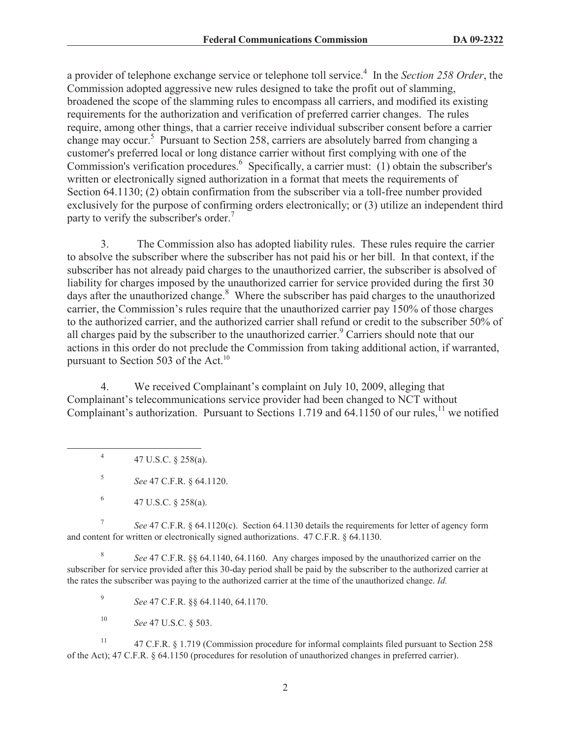a provider of telephone exchange service or telephone toll service.<sup>4</sup> In the *Section 258 Order*, the Commission adopted aggressive new rules designed to take the profit out of slamming, broadened the scope of the slamming rules to encompass all carriers, and modified its existing requirements for the authorization and verification of preferred carrier changes. The rules require, among other things, that a carrier receive individual subscriber consent before a carrier change may occur.<sup>5</sup> Pursuant to Section 258, carriers are absolutely barred from changing a customer's preferred local or long distance carrier without first complying with one of the Commission's verification procedures.<sup>6</sup> Specifically, a carrier must: (1) obtain the subscriber's written or electronically signed authorization in a format that meets the requirements of Section 64.1130; (2) obtain confirmation from the subscriber via a toll-free number provided exclusively for the purpose of confirming orders electronically; or (3) utilize an independent third party to verify the subscriber's order.<sup>7</sup>

3. The Commission also has adopted liability rules. These rules require the carrier to absolve the subscriber where the subscriber has not paid his or her bill. In that context, if the subscriber has not already paid charges to the unauthorized carrier, the subscriber is absolved of liability for charges imposed by the unauthorized carrier for service provided during the first 30 days after the unauthorized change.<sup>8</sup> Where the subscriber has paid charges to the unauthorized carrier, the Commission's rules require that the unauthorized carrier pay 150% of those charges to the authorized carrier, and the authorized carrier shall refund or credit to the subscriber 50% of all charges paid by the subscriber to the unauthorized carrier.<sup>9</sup> Carriers should note that our actions in this order do not preclude the Commission from taking additional action, if warranted, pursuant to Section 503 of the Act. $^{10}$ 

4. We received Complainant's complaint on July 10, 2009, alleging that Complainant's telecommunications service provider had been changed to NCT without Complainant's authorization. Pursuant to Sections 1.719 and 64.1150 of our rules,<sup>11</sup> we notified

4 47 U.S.C. § 258(a).

5 *See* 47 C.F.R. § 64.1120.

7 *See* 47 C.F.R. § 64.1120(c). Section 64.1130 details the requirements for letter of agency form and content for written or electronically signed authorizations. 47 C.F.R. § 64.1130.

8 *See* 47 C.F.R. §§ 64.1140, 64.1160. Any charges imposed by the unauthorized carrier on the subscriber for service provided after this 30-day period shall be paid by the subscriber to the authorized carrier at the rates the subscriber was paying to the authorized carrier at the time of the unauthorized change. *Id.*

9 *See* 47 C.F.R. §§ 64.1140, 64.1170.

<sup>10</sup> *See* 47 U.S.C. § 503.

<sup>11</sup> 47 C.F.R. § 1.719 (Commission procedure for informal complaints filed pursuant to Section 258 of the Act); 47 C.F.R. § 64.1150 (procedures for resolution of unauthorized changes in preferred carrier).

<sup>6</sup> 47 U.S.C. § 258(a).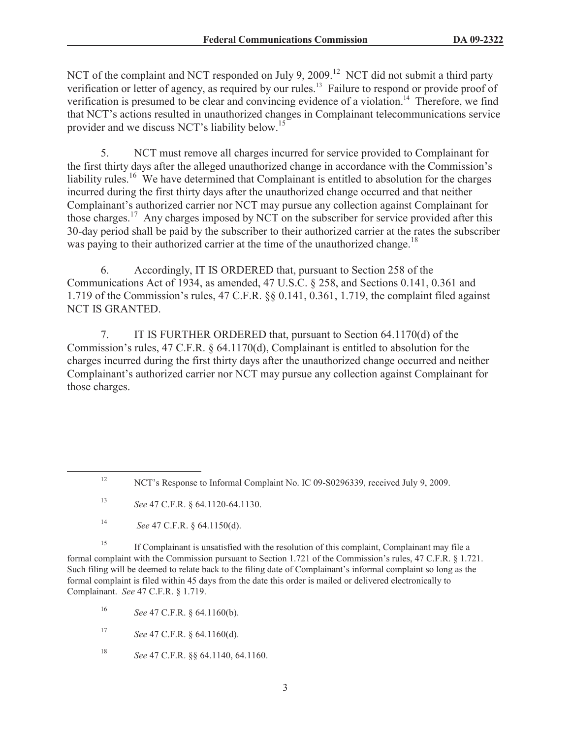NCT of the complaint and NCT responded on July 9, 2009.<sup>12</sup> NCT did not submit a third party verification or letter of agency, as required by our rules.<sup>13</sup> Failure to respond or provide proof of verification is presumed to be clear and convincing evidence of a violation.<sup>14</sup> Therefore, we find that NCT's actions resulted in unauthorized changes in Complainant telecommunications service provider and we discuss NCT's liability below.<sup>15</sup>

5. NCT must remove all charges incurred for service provided to Complainant for the first thirty days after the alleged unauthorized change in accordance with the Commission's liability rules.<sup>16</sup> We have determined that Complainant is entitled to absolution for the charges incurred during the first thirty days after the unauthorized change occurred and that neither Complainant's authorized carrier nor NCT may pursue any collection against Complainant for those charges.<sup>17</sup> Any charges imposed by NCT on the subscriber for service provided after this 30-day period shall be paid by the subscriber to their authorized carrier at the rates the subscriber was paying to their authorized carrier at the time of the unauthorized change.<sup>18</sup>

6. Accordingly, IT IS ORDERED that, pursuant to Section 258 of the Communications Act of 1934, as amended, 47 U.S.C. § 258, and Sections 0.141, 0.361 and 1.719 of the Commission's rules, 47 C.F.R. §§ 0.141, 0.361, 1.719, the complaint filed against NCT IS GRANTED.

7. IT IS FURTHER ORDERED that, pursuant to Section 64.1170(d) of the Commission's rules, 47 C.F.R. § 64.1170(d), Complainant is entitled to absolution for the charges incurred during the first thirty days after the unauthorized change occurred and neither Complainant's authorized carrier nor NCT may pursue any collection against Complainant for those charges.

<sup>15</sup> If Complainant is unsatisfied with the resolution of this complaint, Complainant may file a formal complaint with the Commission pursuant to Section 1.721 of the Commission's rules, 47 C.F.R. § 1.721. Such filing will be deemed to relate back to the filing date of Complainant's informal complaint so long as the formal complaint is filed within 45 days from the date this order is mailed or delivered electronically to Complainant. *See* 47 C.F.R. § 1.719.

<sup>16</sup> *See* 47 C.F.R. § 64.1160(b).

<sup>17</sup> *See* 47 C.F.R. § 64.1160(d).

<sup>18</sup> *See* 47 C.F.R. §§ 64.1140, 64.1160.

<sup>&</sup>lt;sup>12</sup> NCT's Response to Informal Complaint No. IC 09-S0296339, received July 9, 2009.

<sup>13</sup> *See* 47 C.F.R. § 64.1120-64.1130.

<sup>14</sup> *See* 47 C.F.R. § 64.1150(d).